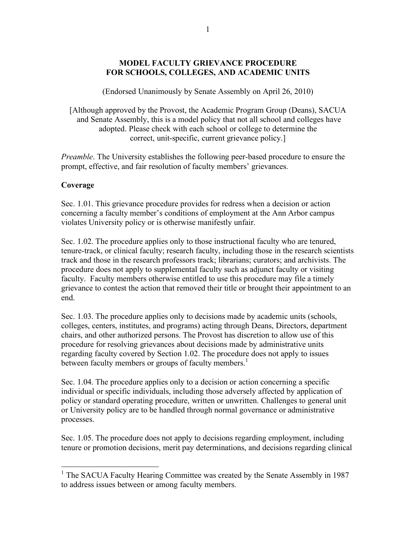#### **MODEL FACULTY GRIEVANCE PROCEDURE FOR SCHOOLS, COLLEGES, AND ACADEMIC UNITS**

(Endorsed Unanimously by Senate Assembly on April 26, 2010)

[Although approved by the Provost, the Academic Program Group (Deans), SACUA and Senate Assembly, this is a model policy that not all school and colleges have adopted. Please check with each school or college to determine the correct, unit-specific, current grievance policy.]

*Preamble*. The University establishes the following peer-based procedure to ensure the prompt, effective, and fair resolution of faculty members' grievances.

#### **Coverage**

Sec. 1.01. This grievance procedure provides for redress when a decision or action concerning a faculty member's conditions of employment at the Ann Arbor campus violates University policy or is otherwise manifestly unfair.

Sec. 1.02. The procedure applies only to those instructional faculty who are tenured, tenure-track, or clinical faculty; research faculty, including those in the research scientists track and those in the research professors track; librarians; curators; and archivists. The procedure does not apply to supplemental faculty such as adjunct faculty or visiting faculty. Faculty members otherwise entitled to use this procedure may file a timely grievance to contest the action that removed their title or brought their appointment to an end.

Sec. 1.03. The procedure applies only to decisions made by academic units (schools, colleges, centers, institutes, and programs) acting through Deans, Directors, department chairs, and other authorized persons. The Provost has discretion to allow use of this procedure for resolving grievances about decisions made by administrative units regarding faculty covered by Section 1.02. The procedure does not apply to issues between faculty members or groups of faculty members.<sup>1</sup>

Sec. 1.04. The procedure applies only to a decision or action concerning a specific individual or specific individuals, including those adversely affected by application of policy or standard operating procedure, written or unwritten. Challenges to general unit or University policy are to be handled through normal governance or administrative processes.

Sec. 1.05. The procedure does not apply to decisions regarding employment, including tenure or promotion decisions, merit pay determinations, and decisions regarding clinical

<sup>&</sup>lt;sup>1</sup> The SACUA Faculty Hearing Committee was created by the Senate Assembly in 1987 to address issues between or among faculty members.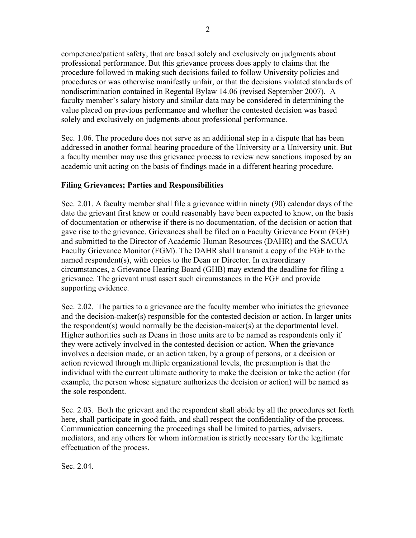competence/patient safety, that are based solely and exclusively on judgments about professional performance. But this grievance process does apply to claims that the procedure followed in making such decisions failed to follow University policies and procedures or was otherwise manifestly unfair, or that the decisions violated standards of nondiscrimination contained in Regental Bylaw 14.06 (revised September 2007). A faculty member's salary history and similar data may be considered in determining the value placed on previous performance and whether the contested decision was based solely and exclusively on judgments about professional performance.

Sec. 1.06. The procedure does not serve as an additional step in a dispute that has been addressed in another formal hearing procedure of the University or a University unit. But a faculty member may use this grievance process to review new sanctions imposed by an academic unit acting on the basis of findings made in a different hearing procedure.

## **Filing Grievances; Parties and Responsibilities**

Sec. 2.01. A faculty member shall file a grievance within ninety (90) calendar days of the date the grievant first knew or could reasonably have been expected to know, on the basis of documentation or otherwise if there is no documentation, of the decision or action that gave rise to the grievance. Grievances shall be filed on a Faculty Grievance Form (FGF) and submitted to the Director of Academic Human Resources (DAHR) and the SACUA Faculty Grievance Monitor (FGM). The DAHR shall transmit a copy of the FGF to the named respondent(s), with copies to the Dean or Director. In extraordinary circumstances, a Grievance Hearing Board (GHB) may extend the deadline for filing a grievance. The grievant must assert such circumstances in the FGF and provide supporting evidence.

Sec. 2.02. The parties to a grievance are the faculty member who initiates the grievance and the decision-maker(s) responsible for the contested decision or action. In larger units the respondent(s) would normally be the decision-maker(s) at the departmental level. Higher authorities such as Deans in those units are to be named as respondents only if they were actively involved in the contested decision or action. When the grievance involves a decision made, or an action taken, by a group of persons, or a decision or action reviewed through multiple organizational levels, the presumption is that the individual with the current ultimate authority to make the decision or take the action (for example, the person whose signature authorizes the decision or action) will be named as the sole respondent.

Sec. 2.03. Both the grievant and the respondent shall abide by all the procedures set forth here, shall participate in good faith, and shall respect the confidentiality of the process. Communication concerning the proceedings shall be limited to parties, advisers, mediators, and any others for whom information is strictly necessary for the legitimate effectuation of the process.

Sec. 2.04.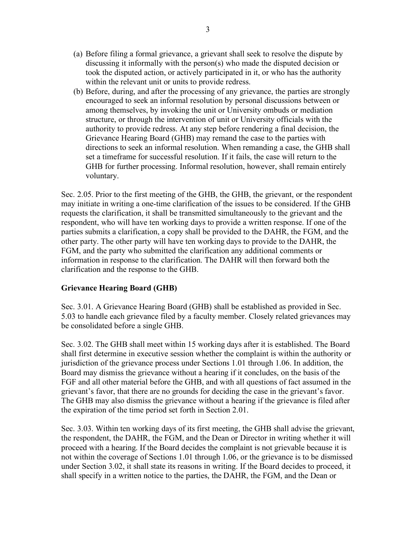- (a) Before filing a formal grievance, a grievant shall seek to resolve the dispute by discussing it informally with the person(s) who made the disputed decision or took the disputed action, or actively participated in it, or who has the authority within the relevant unit or units to provide redress.
- (b) Before, during, and after the processing of any grievance, the parties are strongly encouraged to seek an informal resolution by personal discussions between or among themselves, by invoking the unit or University ombuds or mediation structure, or through the intervention of unit or University officials with the authority to provide redress. At any step before rendering a final decision, the Grievance Hearing Board (GHB) may remand the case to the parties with directions to seek an informal resolution. When remanding a case, the GHB shall set a timeframe for successful resolution. If it fails, the case will return to the GHB for further processing. Informal resolution, however, shall remain entirely voluntary.

Sec. 2.05. Prior to the first meeting of the GHB, the GHB, the grievant, or the respondent may initiate in writing a one-time clarification of the issues to be considered. If the GHB requests the clarification, it shall be transmitted simultaneously to the grievant and the respondent, who will have ten working days to provide a written response. If one of the parties submits a clarification, a copy shall be provided to the DAHR, the FGM, and the other party. The other party will have ten working days to provide to the DAHR, the FGM, and the party who submitted the clarification any additional comments or information in response to the clarification. The DAHR will then forward both the clarification and the response to the GHB.

## **Grievance Hearing Board (GHB)**

Sec. 3.01. A Grievance Hearing Board (GHB) shall be established as provided in Sec. 5.03 to handle each grievance filed by a faculty member. Closely related grievances may be consolidated before a single GHB.

Sec. 3.02. The GHB shall meet within 15 working days after it is established. The Board shall first determine in executive session whether the complaint is within the authority or jurisdiction of the grievance process under Sections 1.01 through 1.06. In addition, the Board may dismiss the grievance without a hearing if it concludes, on the basis of the FGF and all other material before the GHB, and with all questions of fact assumed in the grievant's favor, that there are no grounds for deciding the case in the grievant's favor. The GHB may also dismiss the grievance without a hearing if the grievance is filed after the expiration of the time period set forth in Section 2.01.

Sec. 3.03. Within ten working days of its first meeting, the GHB shall advise the grievant, the respondent, the DAHR, the FGM, and the Dean or Director in writing whether it will proceed with a hearing. If the Board decides the complaint is not grievable because it is not within the coverage of Sections 1.01 through 1.06, or the grievance is to be dismissed under Section 3.02, it shall state its reasons in writing. If the Board decides to proceed, it shall specify in a written notice to the parties, the DAHR, the FGM, and the Dean or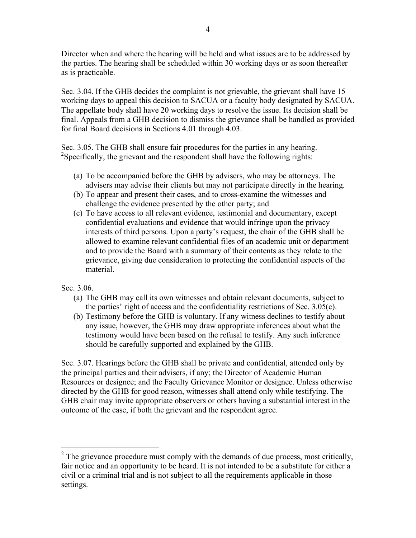Director when and where the hearing will be held and what issues are to be addressed by the parties. The hearing shall be scheduled within 30 working days or as soon thereafter as is practicable.

Sec. 3.04. If the GHB decides the complaint is not grievable, the grievant shall have 15 working days to appeal this decision to SACUA or a faculty body designated by SACUA. The appellate body shall have 20 working days to resolve the issue. Its decision shall be final. Appeals from a GHB decision to dismiss the grievance shall be handled as provided for final Board decisions in Sections 4.01 through 4.03.

Sec. 3.05. The GHB shall ensure fair procedures for the parties in any hearing.  $2$ Specifically, the grievant and the respondent shall have the following rights:

- (a) To be accompanied before the GHB by advisers, who may be attorneys. The advisers may advise their clients but may not participate directly in the hearing.
- (b) To appear and present their cases, and to cross-examine the witnesses and challenge the evidence presented by the other party; and
- (c) To have access to all relevant evidence, testimonial and documentary, except confidential evaluations and evidence that would infringe upon the privacy interests of third persons. Upon a party's request, the chair of the GHB shall be allowed to examine relevant confidential files of an academic unit or department and to provide the Board with a summary of their contents as they relate to the grievance, giving due consideration to protecting the confidential aspects of the material.

Sec. 3.06.

- (a) The GHB may call its own witnesses and obtain relevant documents, subject to the parties' right of access and the confidentiality restrictions of Sec. 3.05(c).
- (b) Testimony before the GHB is voluntary. If any witness declines to testify about any issue, however, the GHB may draw appropriate inferences about what the testimony would have been based on the refusal to testify. Any such inference should be carefully supported and explained by the GHB.

Sec. 3.07. Hearings before the GHB shall be private and confidential, attended only by the principal parties and their advisers, if any; the Director of Academic Human Resources or designee; and the Faculty Grievance Monitor or designee. Unless otherwise directed by the GHB for good reason, witnesses shall attend only while testifying. The GHB chair may invite appropriate observers or others having a substantial interest in the outcome of the case, if both the grievant and the respondent agree.

<sup>&</sup>lt;sup>2</sup> The grievance procedure must comply with the demands of due process, most critically, fair notice and an opportunity to be heard. It is not intended to be a substitute for either a civil or a criminal trial and is not subject to all the requirements applicable in those settings.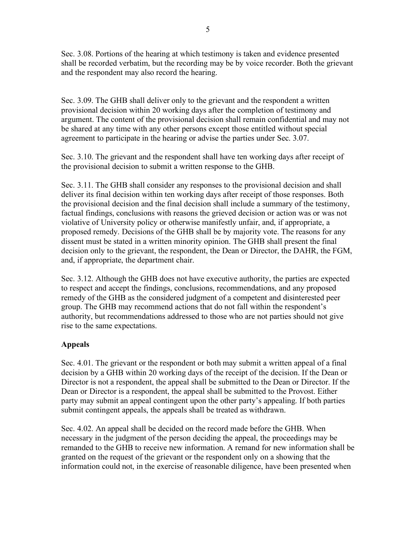Sec. 3.08. Portions of the hearing at which testimony is taken and evidence presented shall be recorded verbatim, but the recording may be by voice recorder. Both the grievant and the respondent may also record the hearing.

Sec. 3.09. The GHB shall deliver only to the grievant and the respondent a written provisional decision within 20 working days after the completion of testimony and argument. The content of the provisional decision shall remain confidential and may not be shared at any time with any other persons except those entitled without special agreement to participate in the hearing or advise the parties under Sec. 3.07.

Sec. 3.10. The grievant and the respondent shall have ten working days after receipt of the provisional decision to submit a written response to the GHB.

Sec. 3.11. The GHB shall consider any responses to the provisional decision and shall deliver its final decision within ten working days after receipt of those responses. Both the provisional decision and the final decision shall include a summary of the testimony, factual findings, conclusions with reasons the grieved decision or action was or was not violative of University policy or otherwise manifestly unfair, and, if appropriate, a proposed remedy. Decisions of the GHB shall be by majority vote. The reasons for any dissent must be stated in a written minority opinion. The GHB shall present the final decision only to the grievant, the respondent, the Dean or Director, the DAHR, the FGM, and, if appropriate, the department chair.

Sec. 3.12. Although the GHB does not have executive authority, the parties are expected to respect and accept the findings, conclusions, recommendations, and any proposed remedy of the GHB as the considered judgment of a competent and disinterested peer group. The GHB may recommend actions that do not fall within the respondent's authority, but recommendations addressed to those who are not parties should not give rise to the same expectations.

# **Appeals**

Sec. 4.01. The grievant or the respondent or both may submit a written appeal of a final decision by a GHB within 20 working days of the receipt of the decision. If the Dean or Director is not a respondent, the appeal shall be submitted to the Dean or Director. If the Dean or Director is a respondent, the appeal shall be submitted to the Provost. Either party may submit an appeal contingent upon the other party's appealing. If both parties submit contingent appeals, the appeals shall be treated as withdrawn.

Sec. 4.02. An appeal shall be decided on the record made before the GHB. When necessary in the judgment of the person deciding the appeal, the proceedings may be remanded to the GHB to receive new information. A remand for new information shall be granted on the request of the grievant or the respondent only on a showing that the information could not, in the exercise of reasonable diligence, have been presented when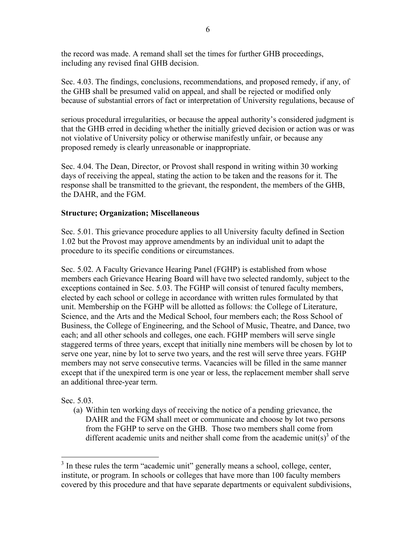the record was made. A remand shall set the times for further GHB proceedings, including any revised final GHB decision.

Sec. 4.03. The findings, conclusions, recommendations, and proposed remedy, if any, of the GHB shall be presumed valid on appeal, and shall be rejected or modified only because of substantial errors of fact or interpretation of University regulations, because of

serious procedural irregularities, or because the appeal authority's considered judgment is that the GHB erred in deciding whether the initially grieved decision or action was or was not violative of University policy or otherwise manifestly unfair, or because any proposed remedy is clearly unreasonable or inappropriate.

Sec. 4.04. The Dean, Director, or Provost shall respond in writing within 30 working days of receiving the appeal, stating the action to be taken and the reasons for it. The response shall be transmitted to the grievant, the respondent, the members of the GHB, the DAHR, and the FGM.

## **Structure; Organization; Miscellaneous**

Sec. 5.01. This grievance procedure applies to all University faculty defined in Section 1.02 but the Provost may approve amendments by an individual unit to adapt the procedure to its specific conditions or circumstances.

Sec. 5.02. A Faculty Grievance Hearing Panel (FGHP) is established from whose members each Grievance Hearing Board will have two selected randomly, subject to the exceptions contained in Sec. 5.03. The FGHP will consist of tenured faculty members, elected by each school or college in accordance with written rules formulated by that unit. Membership on the FGHP will be allotted as follows: the College of Literature, Science, and the Arts and the Medical School, four members each; the Ross School of Business, the College of Engineering, and the School of Music, Theatre, and Dance, two each; and all other schools and colleges, one each. FGHP members will serve single staggered terms of three years, except that initially nine members will be chosen by lot to serve one year, nine by lot to serve two years, and the rest will serve three years. FGHP members may not serve consecutive terms. Vacancies will be filled in the same manner except that if the unexpired term is one year or less, the replacement member shall serve an additional three-year term.

Sec. 5.03.

(a) Within ten working days of receiving the notice of a pending grievance, the DAHR and the FGM shall meet or communicate and choose by lot two persons from the FGHP to serve on the GHB. Those two members shall come from different academic units and neither shall come from the academic unit(s)<sup>3</sup> of the

<sup>&</sup>lt;sup>3</sup> In these rules the term "academic unit" generally means a school, college, center, institute, or program. In schools or colleges that have more than 100 faculty members covered by this procedure and that have separate departments or equivalent subdivisions,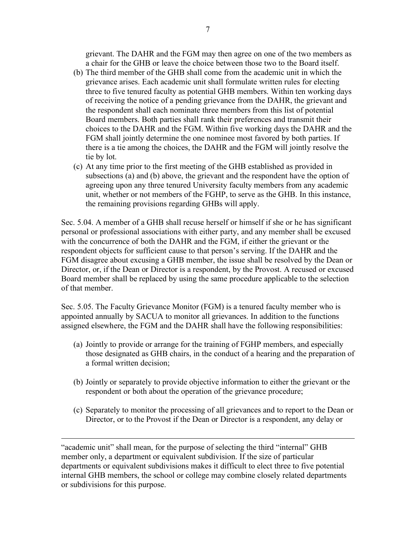grievant. The DAHR and the FGM may then agree on one of the two members as a chair for the GHB or leave the choice between those two to the Board itself.

- (b) The third member of the GHB shall come from the academic unit in which the grievance arises. Each academic unit shall formulate written rules for electing three to five tenured faculty as potential GHB members. Within ten working days of receiving the notice of a pending grievance from the DAHR, the grievant and the respondent shall each nominate three members from this list of potential Board members. Both parties shall rank their preferences and transmit their choices to the DAHR and the FGM. Within five working days the DAHR and the FGM shall jointly determine the one nominee most favored by both parties. If there is a tie among the choices, the DAHR and the FGM will jointly resolve the tie by lot.
- (c) At any time prior to the first meeting of the GHB established as provided in subsections (a) and (b) above, the grievant and the respondent have the option of agreeing upon any three tenured University faculty members from any academic unit, whether or not members of the FGHP, to serve as the GHB. In this instance, the remaining provisions regarding GHBs will apply.

Sec. 5.04. A member of a GHB shall recuse herself or himself if she or he has significant personal or professional associations with either party, and any member shall be excused with the concurrence of both the DAHR and the FGM, if either the grievant or the respondent objects for sufficient cause to that person's serving. If the DAHR and the FGM disagree about excusing a GHB member, the issue shall be resolved by the Dean or Director, or, if the Dean or Director is a respondent, by the Provost. A recused or excused Board member shall be replaced by using the same procedure applicable to the selection of that member.

Sec. 5.05. The Faculty Grievance Monitor (FGM) is a tenured faculty member who is appointed annually by SACUA to monitor all grievances. In addition to the functions assigned elsewhere, the FGM and the DAHR shall have the following responsibilities:

- (a) Jointly to provide or arrange for the training of FGHP members, and especially those designated as GHB chairs, in the conduct of a hearing and the preparation of a formal written decision;
- (b) Jointly or separately to provide objective information to either the grievant or the respondent or both about the operation of the grievance procedure;
- (c) Separately to monitor the processing of all grievances and to report to the Dean or Director, or to the Provost if the Dean or Director is a respondent, any delay or

"academic unit" shall mean, for the purpose of selecting the third "internal" GHB member only, a department or equivalent subdivision. If the size of particular departments or equivalent subdivisions makes it difficult to elect three to five potential internal GHB members, the school or college may combine closely related departments or subdivisions for this purpose.

 $\overline{a}$